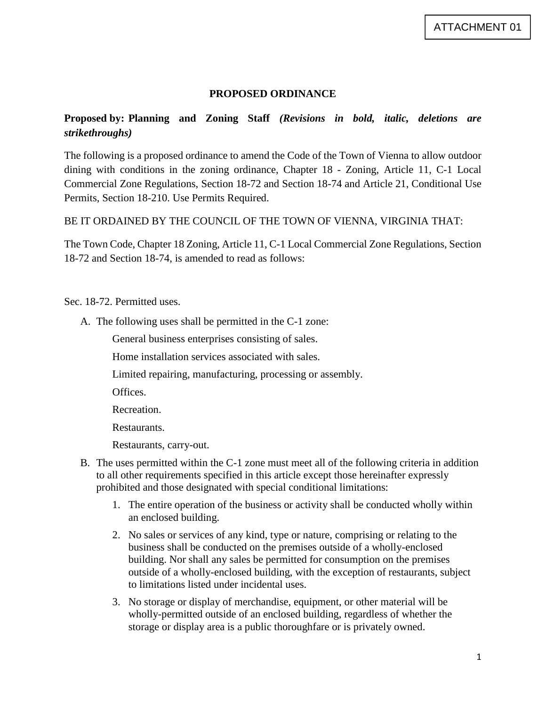## **PROPOSED ORDINANCE**

## **Proposed by: Planning and Zoning Staff** *(Revisions in bold, italic, deletions are strikethroughs)*

The following is a proposed ordinance to amend the Code of the Town of Vienna to allow outdoor dining with conditions in the zoning ordinance, Chapter 18 - Zoning, Article 11, C-1 Local Commercial Zone Regulations, Section 18-72 and Section 18-74 and Article 21, Conditional Use Permits, Section 18-210. Use Permits Required.

BE IT ORDAINED BY THE COUNCIL OF THE TOWN OF VIENNA, VIRGINIA THAT:

The Town Code, Chapter 18 Zoning, Article 11, C-1 Local Commercial Zone Regulations, Section 18-72 and Section 18-74, is amended to read as follows:

Sec. 18-72. Permitted uses.

A. The following uses shall be permitted in the C-1 zone:

General business enterprises consisting of sales.

Home installation services associated with sales.

Limited repairing, manufacturing, processing or assembly.

Offices.

Recreation.

Restaurants.

Restaurants, carry-out.

- B. The uses permitted within the C-1 zone must meet all of the following criteria in addition to all other requirements specified in this article except those hereinafter expressly prohibited and those designated with special conditional limitations:
	- 1. The entire operation of the business or activity shall be conducted wholly within an enclosed building.
	- 2. No sales or services of any kind, type or nature, comprising or relating to the business shall be conducted on the premises outside of a wholly-enclosed building. Nor shall any sales be permitted for consumption on the premises outside of a wholly-enclosed building, with the exception of restaurants, subject to limitations listed under incidental uses.
	- 3. No storage or display of merchandise, equipment, or other material will be wholly-permitted outside of an enclosed building, regardless of whether the storage or display area is a public thoroughfare or is privately owned.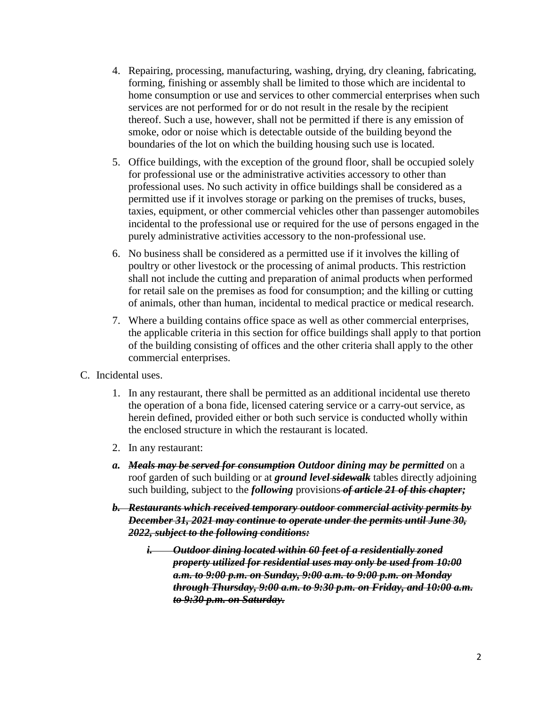- 4. Repairing, processing, manufacturing, washing, drying, dry cleaning, fabricating, forming, finishing or assembly shall be limited to those which are incidental to home consumption or use and services to other commercial enterprises when such services are not performed for or do not result in the resale by the recipient thereof. Such a use, however, shall not be permitted if there is any emission of smoke, odor or noise which is detectable outside of the building beyond the boundaries of the lot on which the building housing such use is located.
- 5. Office buildings, with the exception of the ground floor, shall be occupied solely for professional use or the administrative activities accessory to other than professional uses. No such activity in office buildings shall be considered as a permitted use if it involves storage or parking on the premises of trucks, buses, taxies, equipment, or other commercial vehicles other than passenger automobiles incidental to the professional use or required for the use of persons engaged in the purely administrative activities accessory to the non-professional use.
- 6. No business shall be considered as a permitted use if it involves the killing of poultry or other livestock or the processing of animal products. This restriction shall not include the cutting and preparation of animal products when performed for retail sale on the premises as food for consumption; and the killing or cutting of animals, other than human, incidental to medical practice or medical research.
- 7. Where a building contains office space as well as other commercial enterprises, the applicable criteria in this section for office buildings shall apply to that portion of the building consisting of offices and the other criteria shall apply to the other commercial enterprises.
- C. Incidental uses.
	- 1. In any restaurant, there shall be permitted as an additional incidental use thereto the operation of a bona fide, licensed catering service or a carry-out service, as herein defined, provided either or both such service is conducted wholly within the enclosed structure in which the restaurant is located.
	- 2. In any restaurant:
	- *a. Meals may be served for consumption Outdoor dining may be permitted* on a roof garden of such building or at *ground level sidewalk* tables directly adjoining such building, subject to the *following* provisions *of article 21 of this chapter;*
	- *b. Restaurants which received temporary outdoor commercial activity permits by December 31, 2021 may continue to operate under the permits until June 30, 2022, subject to the following conditions:* 
		- *i. Outdoor dining located within 60 feet of a residentially zoned property utilized for residential uses may only be used from 10:00 a.m. to 9:00 p.m. on Sunday, 9:00 a.m. to 9:00 p.m. on Monday through Thursday, 9:00 a.m. to 9:30 p.m. on Friday, and 10:00 a.m. to 9:30 p.m. on Saturday.*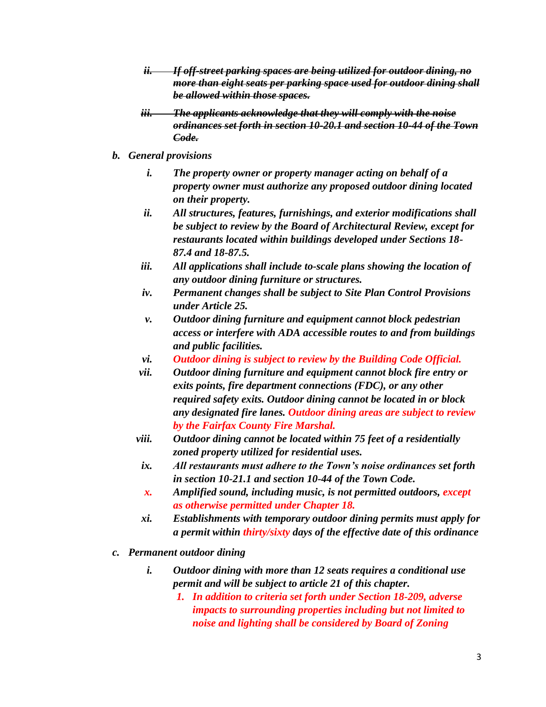- *ii. If off-street parking spaces are being utilized for outdoor dining, no more than eight seats per parking space used for outdoor dining shall be allowed within those spaces.*
- *iii. The applicants acknowledge that they will comply with the noise ordinances set forth in section 10-20.1 and section 10-44 of the Town Code.*
- *b. General provisions*
	- *i. The property owner or property manager acting on behalf of a property owner must authorize any proposed outdoor dining located on their property.*
	- *ii. All structures, features, furnishings, and exterior modifications shall be subject to review by the Board of Architectural Review, except for restaurants located within buildings developed under Sections 18- 87.4 and 18-87.5.*
	- *iii. All applications shall include to-scale plans showing the location of any outdoor dining furniture or structures.*
	- *iv. Permanent changes shall be subject to Site Plan Control Provisions under Article 25.*
	- *v. Outdoor dining furniture and equipment cannot block pedestrian access or interfere with ADA accessible routes to and from buildings and public facilities.*
	- *vi. Outdoor dining is subject to review by the Building Code Official.*
	- *vii. Outdoor dining furniture and equipment cannot block fire entry or exits points, fire department connections (FDC), or any other required safety exits. Outdoor dining cannot be located in or block any designated fire lanes. Outdoor dining areas are subject to review by the Fairfax County Fire Marshal.*
	- *viii. Outdoor dining cannot be located within 75 feet of a residentially zoned property utilized for residential uses.*
	- *ix. All restaurants must adhere to the Town's noise ordinances set forth in section 10-21.1 and section 10-44 of the Town Code.*
	- *x. Amplified sound, including music, is not permitted outdoors, except as otherwise permitted under Chapter 18.*
	- *xi. Establishments with temporary outdoor dining permits must apply for a permit within thirty/sixty days of the effective date of this ordinance*
- *c. Permanent outdoor dining*
	- *i. Outdoor dining with more than 12 seats requires a conditional use permit and will be subject to article 21 of this chapter.*
		- *1. In addition to criteria set forth under Section 18-209, adverse impacts to surrounding properties including but not limited to noise and lighting shall be considered by Board of Zoning*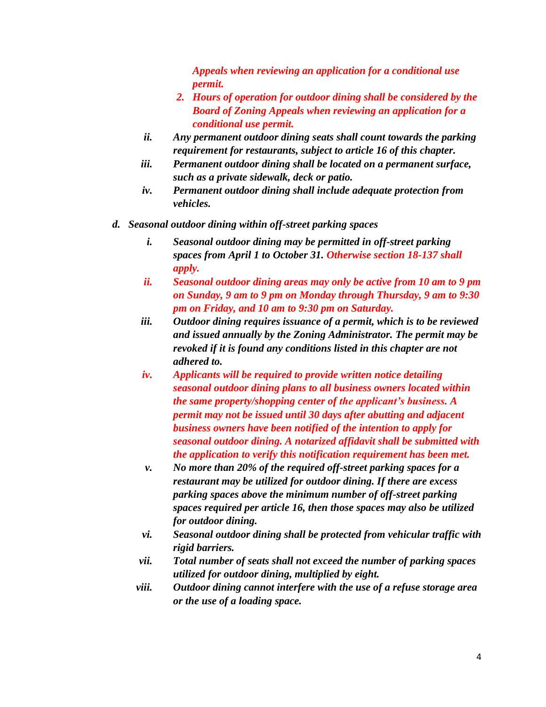*Appeals when reviewing an application for a conditional use permit.* 

- *2. Hours of operation for outdoor dining shall be considered by the Board of Zoning Appeals when reviewing an application for a conditional use permit.*
- *ii. Any permanent outdoor dining seats shall count towards the parking requirement for restaurants, subject to article 16 of this chapter.*
- *iii. Permanent outdoor dining shall be located on a permanent surface, such as a private sidewalk, deck or patio.*
- *iv. Permanent outdoor dining shall include adequate protection from vehicles.*
- *d. Seasonal outdoor dining within off-street parking spaces*
	- *i. Seasonal outdoor dining may be permitted in off-street parking spaces from April 1 to October 31. Otherwise section 18-137 shall apply.*
	- *ii. Seasonal outdoor dining areas may only be active from 10 am to 9 pm on Sunday, 9 am to 9 pm on Monday through Thursday, 9 am to 9:30 pm on Friday, and 10 am to 9:30 pm on Saturday.*
	- *iii. Outdoor dining requires issuance of a permit, which is to be reviewed and issued annually by the Zoning Administrator. The permit may be revoked if it is found any conditions listed in this chapter are not adhered to.*
	- *iv. Applicants will be required to provide written notice detailing seasonal outdoor dining plans to all business owners located within the same property/shopping center of the applicant's business. A permit may not be issued until 30 days after abutting and adjacent business owners have been notified of the intention to apply for seasonal outdoor dining. A notarized affidavit shall be submitted with the application to verify this notification requirement has been met.*
	- *v. No more than 20% of the required off-street parking spaces for a restaurant may be utilized for outdoor dining. If there are excess parking spaces above the minimum number of off-street parking spaces required per article 16, then those spaces may also be utilized for outdoor dining.*
	- *vi. Seasonal outdoor dining shall be protected from vehicular traffic with rigid barriers.*
	- *vii. Total number of seats shall not exceed the number of parking spaces utilized for outdoor dining, multiplied by eight.*
	- *viii. Outdoor dining cannot interfere with the use of a refuse storage area or the use of a loading space.*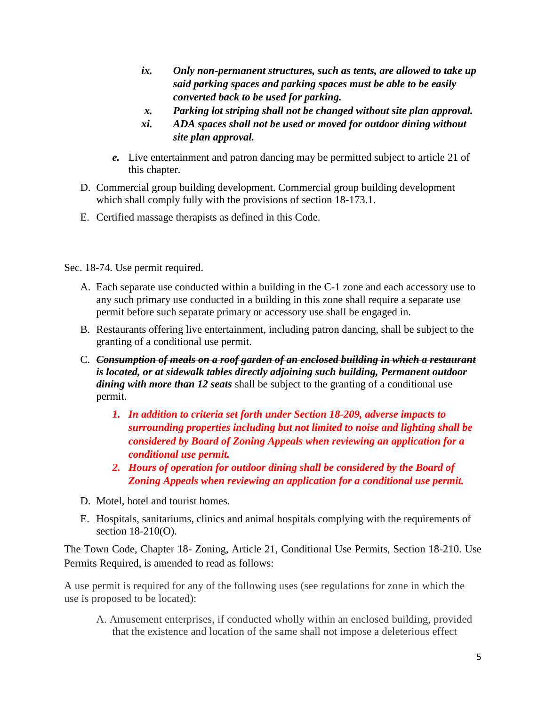- *ix. Only non-permanent structures, such as tents, are allowed to take up said parking spaces and parking spaces must be able to be easily converted back to be used for parking.*
- *x. Parking lot striping shall not be changed without site plan approval.*
- *xi. ADA spaces shall not be used or moved for outdoor dining without site plan approval.*
- *e.* Live entertainment and patron dancing may be permitted subject to article 21 of this chapter.
- D. Commercial group building development. Commercial group building development which shall comply fully with the provisions of section 18-173.1.
- E. Certified massage therapists as defined in this Code.

Sec. 18-74. Use permit required.

- A. Each separate use conducted within a building in the C-1 zone and each accessory use to any such primary use conducted in a building in this zone shall require a separate use permit before such separate primary or accessory use shall be engaged in.
- B. Restaurants offering live entertainment, including patron dancing, shall be subject to the granting of a conditional use permit.
- C. *Consumption of meals on a roof garden of an enclosed building in which a restaurant is located, or at sidewalk tables directly adjoining such building, Permanent outdoor dining with more than 12 seats* shall be subject to the granting of a conditional use permit.
	- *1. In addition to criteria set forth under Section 18-209, adverse impacts to surrounding properties including but not limited to noise and lighting shall be considered by Board of Zoning Appeals when reviewing an application for a conditional use permit.*
	- *2. Hours of operation for outdoor dining shall be considered by the Board of Zoning Appeals when reviewing an application for a conditional use permit.*
- D. Motel, hotel and tourist homes.
- E. Hospitals, sanitariums, clinics and animal hospitals complying with the requirements of section 18-210(O).

The Town Code, Chapter 18- Zoning, Article 21, Conditional Use Permits, Section 18-210. Use Permits Required, is amended to read as follows:

A use permit is required for any of the following uses (see regulations for zone in which the use is proposed to be located):

A. Amusement enterprises, if conducted wholly within an enclosed building, provided that the existence and location of the same shall not impose a deleterious effect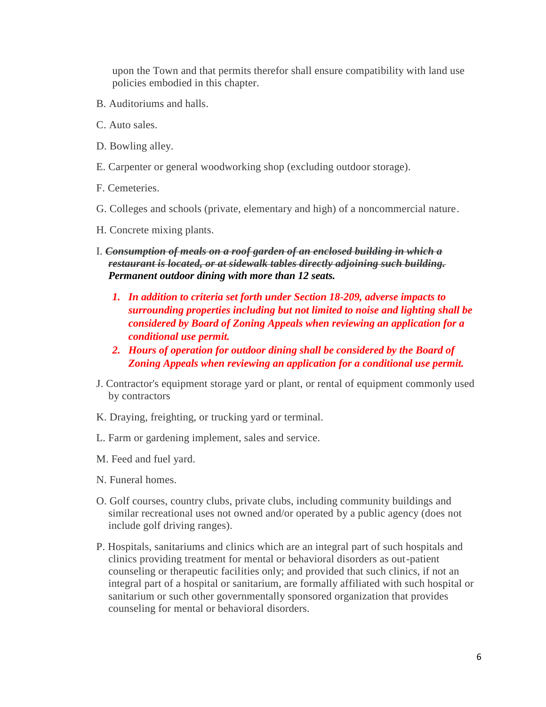upon the Town and that permits therefor shall ensure compatibility with land use policies embodied in this chapter.

- B. Auditoriums and halls.
- C. Auto sales.
- D. Bowling alley.
- E. Carpenter or general woodworking shop (excluding outdoor storage).
- F. Cemeteries.
- G. Colleges and schools (private, elementary and high) of a noncommercial nature.
- H. Concrete mixing plants.
- I. *Consumption of meals on a roof garden of an enclosed building in which a restaurant is located, or at sidewalk tables directly adjoining such building. Permanent outdoor dining with more than 12 seats.*
	- *1. In addition to criteria set forth under Section 18-209, adverse impacts to surrounding properties including but not limited to noise and lighting shall be considered by Board of Zoning Appeals when reviewing an application for a conditional use permit.*
	- *2. Hours of operation for outdoor dining shall be considered by the Board of Zoning Appeals when reviewing an application for a conditional use permit.*
- J. Contractor's equipment storage yard or plant, or rental of equipment commonly used by contractors
- K. Draying, freighting, or trucking yard or terminal.
- L. Farm or gardening implement, sales and service.
- M. Feed and fuel yard.
- N. Funeral homes.
- O. Golf courses, country clubs, private clubs, including community buildings and similar recreational uses not owned and/or operated by a public agency (does not include golf driving ranges).
- P. Hospitals, sanitariums and clinics which are an integral part of such hospitals and clinics providing treatment for mental or behavioral disorders as out-patient counseling or therapeutic facilities only; and provided that such clinics, if not an integral part of a hospital or sanitarium, are formally affiliated with such hospital or sanitarium or such other governmentally sponsored organization that provides counseling for mental or behavioral disorders.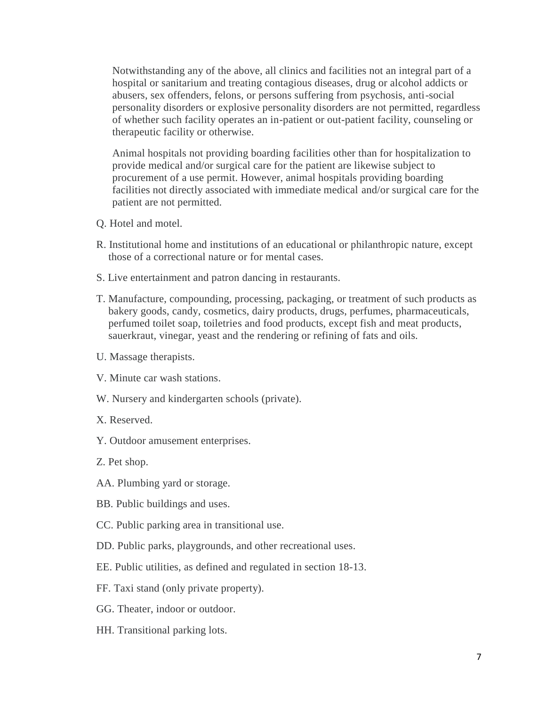Notwithstanding any of the above, all clinics and facilities not an integral part of a hospital or sanitarium and treating contagious diseases, drug or alcohol addicts or abusers, sex offenders, felons, or persons suffering from psychosis, anti-social personality disorders or explosive personality disorders are not permitted, regardless of whether such facility operates an in-patient or out-patient facility, counseling or therapeutic facility or otherwise.

Animal hospitals not providing boarding facilities other than for hospitalization to provide medical and/or surgical care for the patient are likewise subject to procurement of a use permit. However, animal hospitals providing boarding facilities not directly associated with immediate medical and/or surgical care for the patient are not permitted.

- Q. Hotel and motel.
- R. Institutional home and institutions of an educational or philanthropic nature, except those of a correctional nature or for mental cases.
- S. Live entertainment and patron dancing in restaurants.
- T. Manufacture, compounding, processing, packaging, or treatment of such products as bakery goods, candy, cosmetics, dairy products, drugs, perfumes, pharmaceuticals, perfumed toilet soap, toiletries and food products, except fish and meat products, sauerkraut, vinegar, yeast and the rendering or refining of fats and oils.
- U. Massage therapists.
- V. Minute car wash stations.
- W. Nursery and kindergarten schools (private).
- X. Reserved.
- Y. Outdoor amusement enterprises.
- Z. Pet shop.
- AA. Plumbing yard or storage.
- BB. Public buildings and uses.
- CC. Public parking area in transitional use.
- DD. Public parks, playgrounds, and other recreational uses.
- EE. Public utilities, as defined and regulated in section 18-13.
- FF. Taxi stand (only private property).
- GG. Theater, indoor or outdoor.
- HH. Transitional parking lots.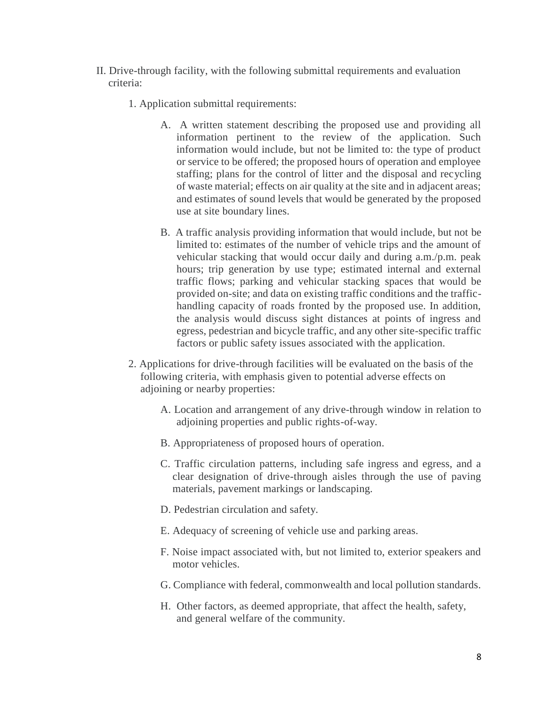- II. Drive-through facility, with the following submittal requirements and evaluation criteria:
	- 1. Application submittal requirements:
		- A. A written statement describing the proposed use and providing all information pertinent to the review of the application. Such information would include, but not be limited to: the type of product or service to be offered; the proposed hours of operation and employee staffing; plans for the control of litter and the disposal and recycling of waste material; effects on air quality at the site and in adjacent areas; and estimates of sound levels that would be generated by the proposed use at site boundary lines.
		- B. A traffic analysis providing information that would include, but not be limited to: estimates of the number of vehicle trips and the amount of vehicular stacking that would occur daily and during a.m./p.m. peak hours; trip generation by use type; estimated internal and external traffic flows; parking and vehicular stacking spaces that would be provided on-site; and data on existing traffic conditions and the traffichandling capacity of roads fronted by the proposed use. In addition, the analysis would discuss sight distances at points of ingress and egress, pedestrian and bicycle traffic, and any other site-specific traffic factors or public safety issues associated with the application.
	- 2. Applications for drive-through facilities will be evaluated on the basis of the following criteria, with emphasis given to potential adverse effects on adjoining or nearby properties:
		- A. Location and arrangement of any drive-through window in relation to adjoining properties and public rights-of-way.
		- B. Appropriateness of proposed hours of operation.
		- C. Traffic circulation patterns, including safe ingress and egress, and a clear designation of drive-through aisles through the use of paving materials, pavement markings or landscaping.
		- D. Pedestrian circulation and safety.
		- E. Adequacy of screening of vehicle use and parking areas.
		- F. Noise impact associated with, but not limited to, exterior speakers and motor vehicles.
		- G. Compliance with federal, commonwealth and local pollution standards.
		- H. Other factors, as deemed appropriate, that affect the health, safety, and general welfare of the community.